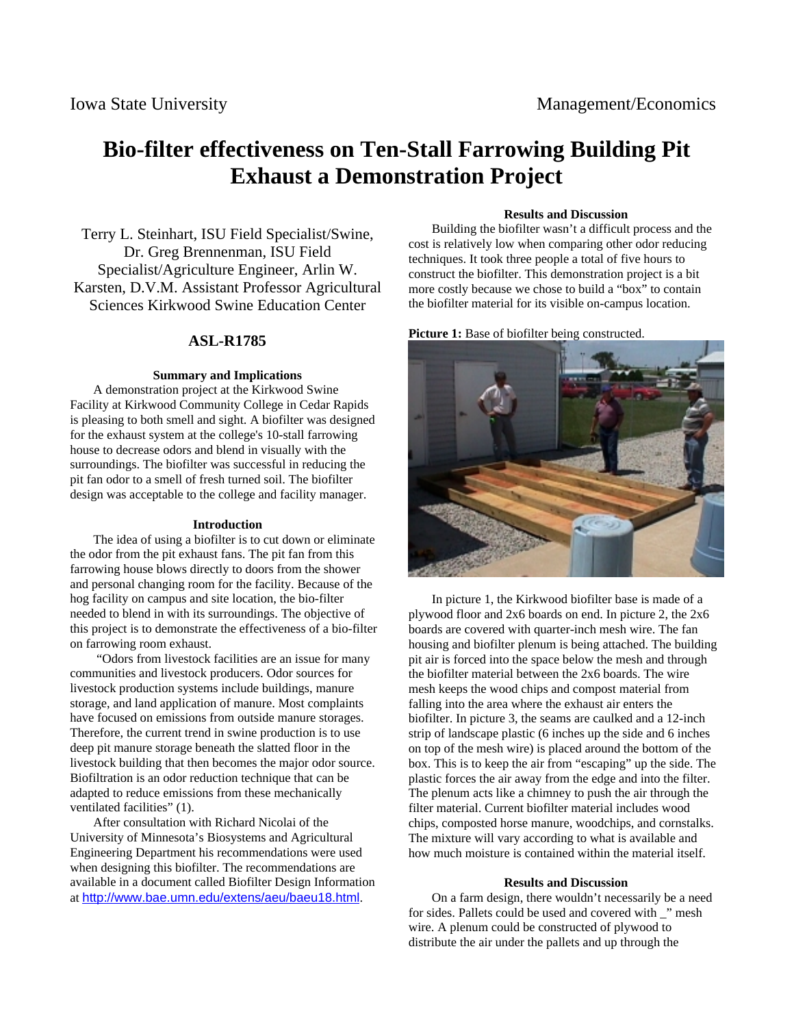# **Bio-filter effectiveness on Ten-Stall Farrowing Building Pit Exhaust a Demonstration Project**

Terry L. Steinhart, ISU Field Specialist/Swine, Dr. Greg Brennenman, ISU Field Specialist/Agriculture Engineer, Arlin W. Karsten, D.V.M. Assistant Professor Agricultural Sciences Kirkwood Swine Education Center

# **ASL-R1785**

### **Summary and Implications**

A demonstration project at the Kirkwood Swine Facility at Kirkwood Community College in Cedar Rapids is pleasing to both smell and sight. A biofilter was designed for the exhaust system at the college's 10-stall farrowing house to decrease odors and blend in visually with the surroundings. The biofilter was successful in reducing the pit fan odor to a smell of fresh turned soil. The biofilter design was acceptable to the college and facility manager.

#### **Introduction**

The idea of using a biofilter is to cut down or eliminate the odor from the pit exhaust fans. The pit fan from this farrowing house blows directly to doors from the shower and personal changing room for the facility. Because of the hog facility on campus and site location, the bio-filter needed to blend in with its surroundings. The objective of this project is to demonstrate the effectiveness of a bio-filter on farrowing room exhaust.

 "Odors from livestock facilities are an issue for many communities and livestock producers. Odor sources for livestock production systems include buildings, manure storage, and land application of manure. Most complaints have focused on emissions from outside manure storages. Therefore, the current trend in swine production is to use deep pit manure storage beneath the slatted floor in the livestock building that then becomes the major odor source. Biofiltration is an odor reduction technique that can be adapted to reduce emissions from these mechanically ventilated facilities" (1).

After consultation with Richard Nicolai of the University of Minnesota's Biosystems and Agricultural Engineering Department his recommendations were used when designing this biofilter. The recommendations are available in a document called Biofilter Design Information at <http://www.bae.umn.edu/extens/aeu/baeu18.html>.

## **Results and Discussion**

Building the biofilter wasn't a difficult process and the cost is relatively low when comparing other odor reducing techniques. It took three people a total of five hours to construct the biofilter. This demonstration project is a bit more costly because we chose to build a "box" to contain the biofilter material for its visible on-campus location.

Picture 1: Base of biofilter being constructed.



In picture 1, the Kirkwood biofilter base is made of a plywood floor and 2x6 boards on end. In picture 2, the 2x6 boards are covered with quarter-inch mesh wire. The fan housing and biofilter plenum is being attached. The building pit air is forced into the space below the mesh and through the biofilter material between the 2x6 boards. The wire mesh keeps the wood chips and compost material from falling into the area where the exhaust air enters the biofilter. In picture 3, the seams are caulked and a 12-inch strip of landscape plastic (6 inches up the side and 6 inches on top of the mesh wire) is placed around the bottom of the box. This is to keep the air from "escaping" up the side. The plastic forces the air away from the edge and into the filter. The plenum acts like a chimney to push the air through the filter material. Current biofilter material includes wood chips, composted horse manure, woodchips, and cornstalks. The mixture will vary according to what is available and how much moisture is contained within the material itself.

#### **Results and Discussion**

On a farm design, there wouldn't necessarily be a need for sides. Pallets could be used and covered with \_" mesh wire. A plenum could be constructed of plywood to distribute the air under the pallets and up through the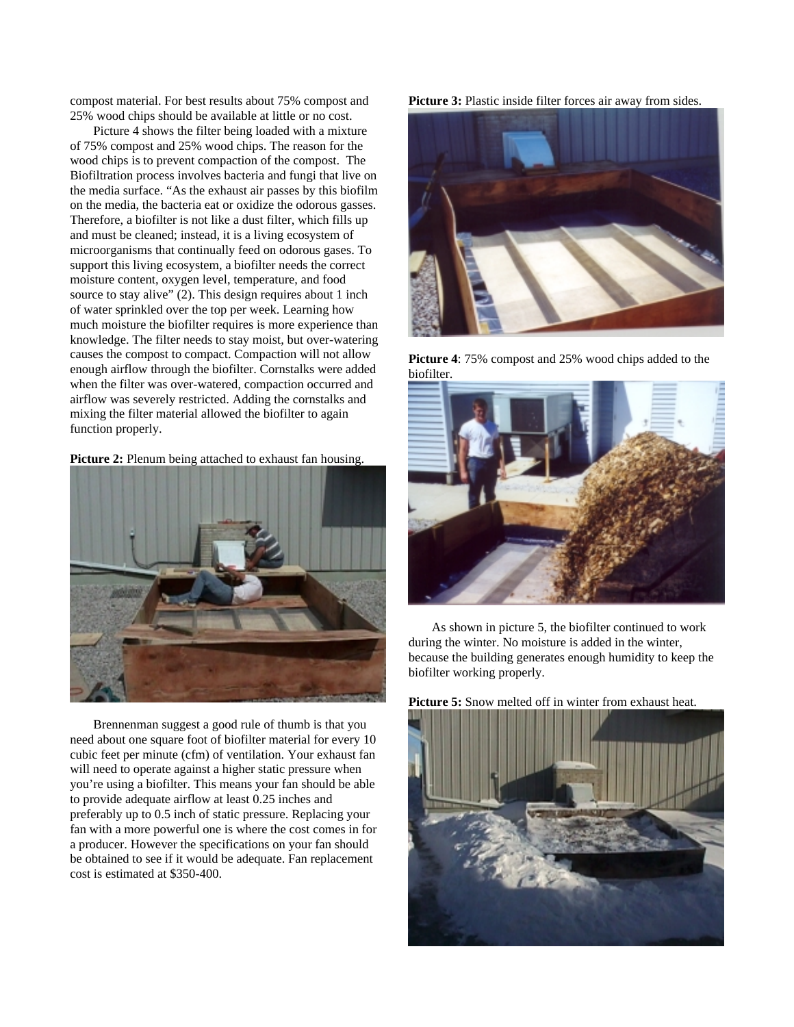compost material. For best results about 75% compost and 25% wood chips should be available at little or no cost.

Picture 4 shows the filter being loaded with a mixture of 75% compost and 25% wood chips. The reason for the wood chips is to prevent compaction of the compost. The Biofiltration process involves bacteria and fungi that live on the media surface. "As the exhaust air passes by this biofilm on the media, the bacteria eat or oxidize the odorous gasses. Therefore, a biofilter is not like a dust filter, which fills up and must be cleaned; instead, it is a living ecosystem of microorganisms that continually feed on odorous gases. To support this living ecosystem, a biofilter needs the correct moisture content, oxygen level, temperature, and food source to stay alive" (2). This design requires about 1 inch of water sprinkled over the top per week. Learning how much moisture the biofilter requires is more experience than knowledge. The filter needs to stay moist, but over-watering causes the compost to compact. Compaction will not allow enough airflow through the biofilter. Cornstalks were added when the filter was over-watered, compaction occurred and airflow was severely restricted. Adding the cornstalks and mixing the filter material allowed the biofilter to again function properly.





Brennenman suggest a good rule of thumb is that you need about one square foot of biofilter material for every 10 cubic feet per minute (cfm) of ventilation. Your exhaust fan will need to operate against a higher static pressure when you're using a biofilter. This means your fan should be able to provide adequate airflow at least 0.25 inches and preferably up to 0.5 inch of static pressure. Replacing your fan with a more powerful one is where the cost comes in for a producer. However the specifications on your fan should be obtained to see if it would be adequate. Fan replacement cost is estimated at \$350-400.

Picture 3: Plastic inside filter forces air away from sides.



**Picture 4**: 75% compost and 25% wood chips added to the biofilter.



As shown in picture 5, the biofilter continued to work during the winter. No moisture is added in the winter, because the building generates enough humidity to keep the biofilter working properly.

**Picture 5:** Snow melted off in winter from exhaust heat.